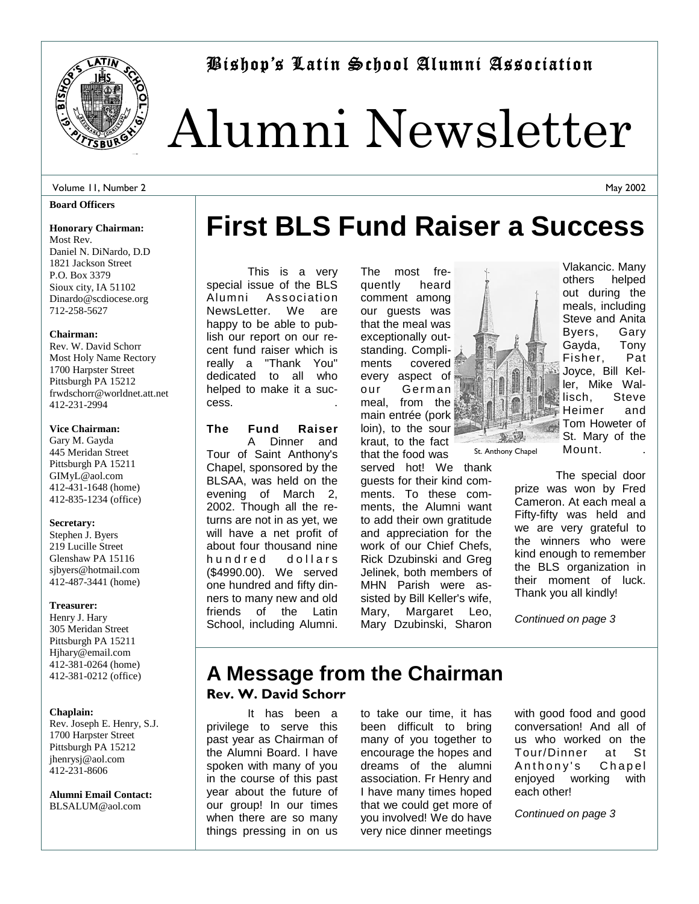

Bishop's Latin School Alumni Association

# Alumni Newsletter

**First BLS Fund Raiser a Success** 

#### Volume 11, Number 2

#### **Board Officers**

#### **Honorary Chairman:**

Most Rev. Daniel N. DiNardo, D.D 1821 Jackson Street P.O. Box 3379 Sioux city, IA 51102 Dinardo@scdiocese.org 712-258-5627

#### **Chairman:**

Rev. W. David Schorr Most Holy Name Rectory 1700 Harpster Street Pittsburgh PA 15212 frwdschorr@worldnet.att.net 412-231-2994

#### **Vice Chairman:**

Gary M. Gayda 445 Meridan Street Pittsburgh PA 15211 GIMyL@aol.com 412-431-1648 (home) 412-835-1234 (office)

#### **Secretary:**

Stephen J. Byers 219 Lucille Street Glenshaw PA 15116 sjbyers@hotmail.com 412-487-3441 (home)

#### **Treasurer:**

Henry J. Hary 305 Meridan Street Pittsburgh PA 15211 Hjhary@email.com 412-381-0264 (home) 412-381-0212 (office)

#### **Chaplain:**

Rev. Joseph E. Henry, S.J. 1700 Harpster Street Pittsburgh PA 15212 jhenrysj@aol.com 412-231-8606

**Alumni Email Contact:**  BLSALUM@aol.com

 This is a very special issue of the BLS Alumni Association NewsLetter. We are happy to be able to publish our report on our recent fund raiser which is really a "Thank You" dedicated to all who helped to make it a success. .

**The Fund Raiser**  A Dinner and Tour of Saint Anthony's Chapel, sponsored by the BLSAA, was held on the evening of March 2, 2002. Though all the returns are not in as yet, we will have a net profit of about four thousand nine hundred dollars (\$4990.00). We served one hundred and fifty dinners to many new and old friends of the Latin School, including Alumni.

The most frequently heard comment among our guests was that the meal was exceptionally outstanding. Compliments covered every aspect of our German meal, from the main entrée (pork loin), to the sour kraut, to the fact that the food was

served hot! We thank guests for their kind comments. To these comments, the Alumni want to add their own gratitude and appreciation for the work of our Chief Chefs, Rick Dzubinski and Greg Jelinek, both members of MHN Parish were assisted by Bill Keller's wife, Mary, Margaret Leo, Mary Dzubinski, Sharon

TR. St. Anthony Chapel Vlakancic. Many others helped out during the meals, including Steve and Anita Byers, Gary Gayda, Tony Fisher, Pat Joyce, Bill Keller, Mike Wallisch, Steve Heimer and Tom Howeter of St. Mary of the Mount. .

 The special door prize was won by Fred Cameron. At each meal a Fifty-fifty was held and we are very grateful to the winners who were kind enough to remember the BLS organization in their moment of luck. Thank you all kindly!

*Continued on page 3*

## **A Message from the Chairman Rev. W. David Schorr**

 It has been a privilege to serve this past year as Chairman of the Alumni Board. I have spoken with many of you in the course of this past year about the future of our group! In our times when there are so many things pressing in on us

to take our time, it has been difficult to bring many of you together to encourage the hopes and dreams of the alumni association. Fr Henry and I have many times hoped that we could get more of you involved! We do have very nice dinner meetings

with good food and good conversation! And all of us who worked on the Tour/Dinner at St Anthony's Chapel enjoyed working with each other!

*Continued on page 3* 

May 2002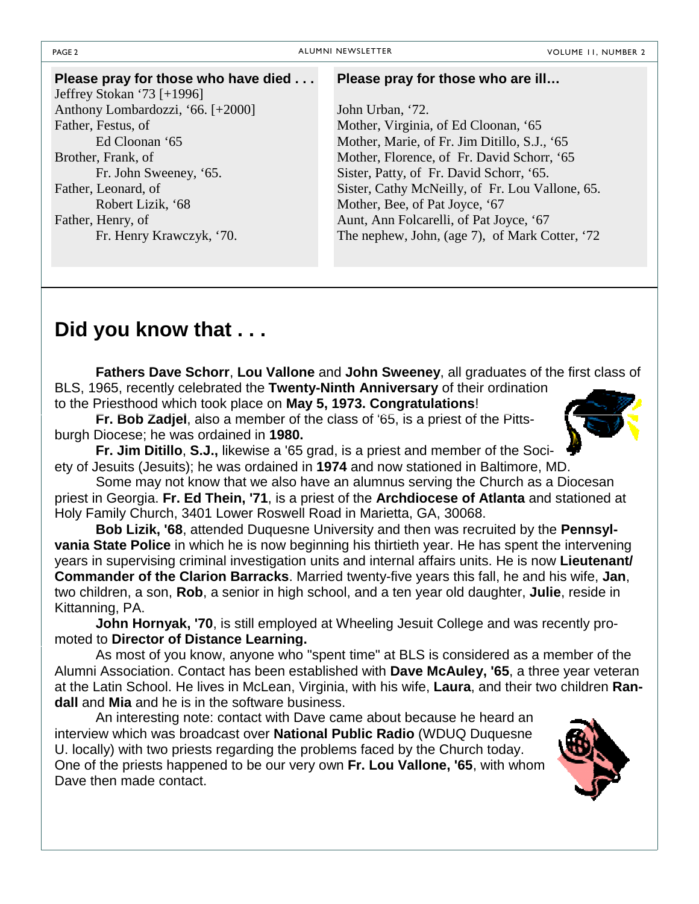| Please pray for those who have died | Please pray for those who are ill               |
|-------------------------------------|-------------------------------------------------|
| Jeffrey Stokan '73 $[+1996]$        |                                                 |
| Anthony Lombardozzi, '66. [+2000]   | John Urban, '72.                                |
| Father, Festus, of                  | Mother, Virginia, of Ed Cloonan, '65            |
| Ed Cloonan '65                      | Mother, Marie, of Fr. Jim Ditillo, S.J., '65    |
| Brother, Frank, of                  | Mother, Florence, of Fr. David Schorr, '65      |
| Fr. John Sweeney, '65.              | Sister, Patty, of Fr. David Schorr, '65.        |
| Father, Leonard, of                 | Sister, Cathy McNeilly, of Fr. Lou Vallone, 65. |
| Robert Lizik, '68                   | Mother, Bee, of Pat Joyce, '67                  |
| Father, Henry, of                   | Aunt, Ann Folcarelli, of Pat Joyce, '67         |
| Fr. Henry Krawczyk, '70.            | The nephew, John, (age 7), of Mark Cotter, '72  |
|                                     |                                                 |

## **Did you know that . . .**

 **Fathers Dave Schorr**, **Lou Vallone** and **John Sweeney**, all graduates of the first class of BLS, 1965, recently celebrated the **Twenty-Ninth Anniversary** of their ordination to the Priesthood which took place on **May 5, 1973. Congratulations**!

 **Fr. Bob Zadjel**, also a member of the class of '65, is a priest of the Pittsburgh Diocese; he was ordained in **1980.**

 **Fr. Jim Ditillo**, **S.J.,** likewise a '65 grad, is a priest and member of the Society of Jesuits (Jesuits); he was ordained in **1974** and now stationed in Baltimore, MD.

 Some may not know that we also have an alumnus serving the Church as a Diocesan priest in Georgia. **Fr. Ed Thein, '71**, is a priest of the **Archdiocese of Atlanta** and stationed at Holy Family Church, 3401 Lower Roswell Road in Marietta, GA, 30068.

 **Bob Lizik, '68**, attended Duquesne University and then was recruited by the **Pennsylvania State Police** in which he is now beginning his thirtieth year. He has spent the intervening years in supervising criminal investigation units and internal affairs units. He is now **Lieutenant/ Commander of the Clarion Barracks**. Married twenty-five years this fall, he and his wife, **Jan**, two children, a son, **Rob**, a senior in high school, and a ten year old daughter, **Julie**, reside in Kittanning, PA.

**John Hornyak, '70**, is still employed at Wheeling Jesuit College and was recently promoted to **Director of Distance Learning.**

 As most of you know, anyone who "spent time" at BLS is considered as a member of the Alumni Association. Contact has been established with **Dave McAuley, '65**, a three year veteran at the Latin School. He lives in McLean, Virginia, with his wife, **Laura**, and their two children **Randall** and **Mia** and he is in the software business.

 An interesting note: contact with Dave came about because he heard an interview which was broadcast over **National Public Radio** (WDUQ Duquesne U. locally) with two priests regarding the problems faced by the Church today. One of the priests happened to be our very own **Fr. Lou Vallone, '65**, with whom Dave then made contact.



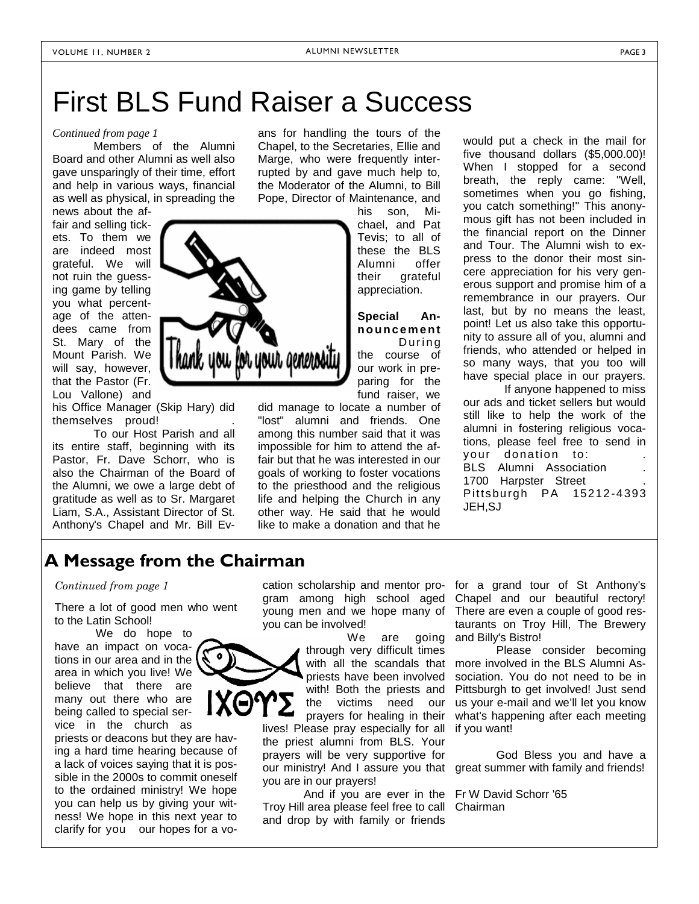## First BLS Fund Raiser a Success

### *Continued from page 1*

 Members of the Alumni Board and other Alumni as well also gave unsparingly of their time, effort and help in various ways, financial as well as physical, in spreading the

news about the affair and selling tickets. To them we are indeed most grateful. We will not ruin the guessing game by telling you what percentage of the attendees came from St. Mary of the Mount Parish. We will say, however, that the Pastor (Fr. Lou Vallone) and

his Office Manager (Skip Hary) did themselves proud! .

 To our Host Parish and all its entire staff, beginning with its Pastor, Fr. Dave Schorr, who is also the Chairman of the Board of the Alumni, we owe a large debt of gratitude as well as to Sr. Margaret Liam, S.A., Assistant Director of St. Anthony's Chapel and Mr. Bill Evans for handling the tours of the Chapel, to the Secretaries, Ellie and Marge, who were frequently interrupted by and gave much help to, the Moderator of the Alumni, to Bill Pope, Director of Maintenance, and

> his son, Michael, and Pat Tevis; to all of these the BLS Alumni offer their grateful appreciation.

**Special Announcement** D u r i n g the course of our work in preparing for the fund raiser, we

did manage to locate a number of "lost" alumni and friends. One among this number said that it was impossible for him to attend the affair but that he was interested in our goals of working to foster vocations to the priesthood and the religious life and helping the Church in any other way. He said that he would like to make a donation and that he would put a check in the mail for five thousand dollars (\$5,000.00)! When I stopped for a second breath, the reply came: "Well, sometimes when you go fishing, you catch something!" This anonymous gift has not been included in the financial report on the Dinner and Tour. The Alumni wish to express to the donor their most sincere appreciation for his very generous support and promise him of a remembrance in our prayers. Our last, but by no means the least, point! Let us also take this opportunity to assure all of you, alumni and friends, who attended or helped in so many ways, that you too will have special place in our prayers.

 If anyone happened to miss our ads and ticket sellers but would still like to help the work of the alumni in fostering religious vocations, please feel free to send in your donation to: BLS Alumni Association 1700 Harpster Street Pittsburgh PA 15212-4393 JEH,SJ

## **A Message from the Chairman**

#### *Continued from page 1*

There a lot of good men who went to the Latin School!

 We do hope to have an impact on vocations in our area and in the area in which you live! We believe that there are many out there who are being called to special service in the church as

priests or deacons but they are having a hard time hearing because of a lack of voices saying that it is possible in the 2000s to commit oneself to the ordained ministry! We hope you can help us by giving your witness! We hope in this next year to clarify for you our hopes for a vo-

cation scholarship and mentor program among high school aged young men and we hope many of you can be involved!

 We are going through very difficult times with all the scandals that priests have been involved with! Both the priests and the victims need our prayers for healing in their lives! Please pray especially for all the priest alumni from BLS. Your prayers will be very supportive for you are in our prayers!

 And if you are ever in the Fr W David Schorr '65 Troy Hill area please feel free to call Chairman and drop by with family or friends

for a grand tour of St Anthony's Chapel and our beautiful rectory! There are even a couple of good restaurants on Troy Hill, The Brewery and Billy's Bistro!

 Please consider becoming more involved in the BLS Alumni Association. You do not need to be in Pittsburgh to get involved! Just send us your e-mail and we'll let you know what's happening after each meeting if you want!

our ministry! And I assure you that great summer with family and friends! God Bless you and have a